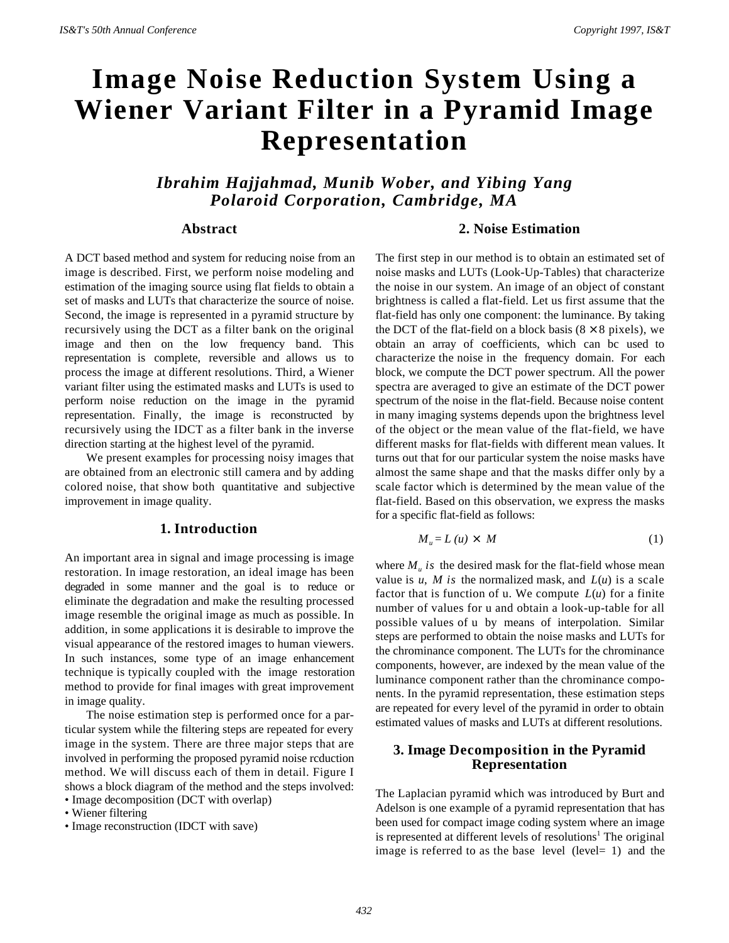# **Image Noise Reduction System Using a Wiener Variant Filter in a Pyramid Image Representation**

*Ibrahim Hajjahmad, Munib Wober, and Yibing Yang Polaroid Corporation, Cambridge, MA*

# **Abstract**

A DCT based method and system for reducing noise from an image is described. First, we perform noise modeling and estimation of the imaging source using flat fields to obtain a set of masks and LUTs that characterize the source of noise. Second, the image is represented in a pyramid structure by recursively using the DCT as a filter bank on the original image and then on the low frequency band. This representation is complete, reversible and allows us to process the image at different resolutions. Third, a Wiener variant filter using the estimated masks and LUTs is used to perform noise reduction on the image in the pyramid representation. Finally, the image is reconstructed by recursively using the IDCT as a filter bank in the inverse direction starting at the highest level of the pyramid.

We present examples for processing noisy images that are obtained from an electronic still camera and by adding colored noise, that show both quantitative and subjective improvement in image quality.

### **1. Introduction**

An important area in signal and image processing is image restoration. In image restoration, an ideal image has been degraded in some manner and the goal is to reduce or eliminate the degradation and make the resulting processed image resemble the original image as much as possible. In addition, in some applications it is desirable to improve the visual appearance of the restored images to human viewers. In such instances, some type of an image enhancement technique is typically coupled with the image restoration method to provide for final images with great improvement in image quality.

The noise estimation step is performed once for a particular system while the filtering steps are repeated for every image in the system. There are three major steps that are involved in performing the proposed pyramid noise rcduction method. We will discuss each of them in detail. Figure I shows a block diagram of the method and the steps involved: • Image decomposition (DCT with overlap)

• Wiener filtering

• Image reconstruction (IDCT with save)

## **2. Noise Estimation**

The first step in our method is to obtain an estimated set of noise masks and LUTs (Look-Up-Tables) that characterize the noise in our system. An image of an object of constant brightness is called a flat-field. Let us first assume that the flat-field has only one component: the luminance. By taking the DCT of the flat-field on a block basis  $(8 \times 8 \text{ pixels})$ , we obtain an array of coefficients, which can bc used to characterize the noise in the frequency domain. For each block, we compute the DCT power spectrum. All the power spectra are averaged to give an estimate of the DCT power spectrum of the noise in the flat-field. Because noise content in many imaging systems depends upon the brightness level of the object or the mean value of the flat-field, we have different masks for flat-fields with different mean values. It turns out that for our particular system the noise masks have almost the same shape and that the masks differ only by a scale factor which is determined by the mean value of the flat-field. Based on this observation, we express the masks for a specific flat-field as follows:

$$
M_{u} = L(u) \times M \tag{1}
$$

where  $M_u$  is the desired mask for the flat-field whose mean value is  $u$ ,  $M$  is the normalized mask, and  $L(u)$  is a scale factor that is function of u. We compute  $L(u)$  for a finite number of values for u and obtain a look-up-table for all possible values of u by means of interpolation. Similar steps are performed to obtain the noise masks and LUTs for the chrominance component. The LUTs for the chrominance components, however, are indexed by the mean value of the luminance component rather than the chrominance components. In the pyramid representation, these estimation steps are repeated for every level of the pyramid in order to obtain estimated values of masks and LUTs at different resolutions.

# **3. Image Decomposition in the Pyramid Representation**

The Laplacian pyramid which was introduced by Burt and Adelson is one example of a pyramid representation that has been used for compact image coding system where an image is represented at different levels of resolutions<sup>1</sup> The original image is referred to as the base level (level= 1) and the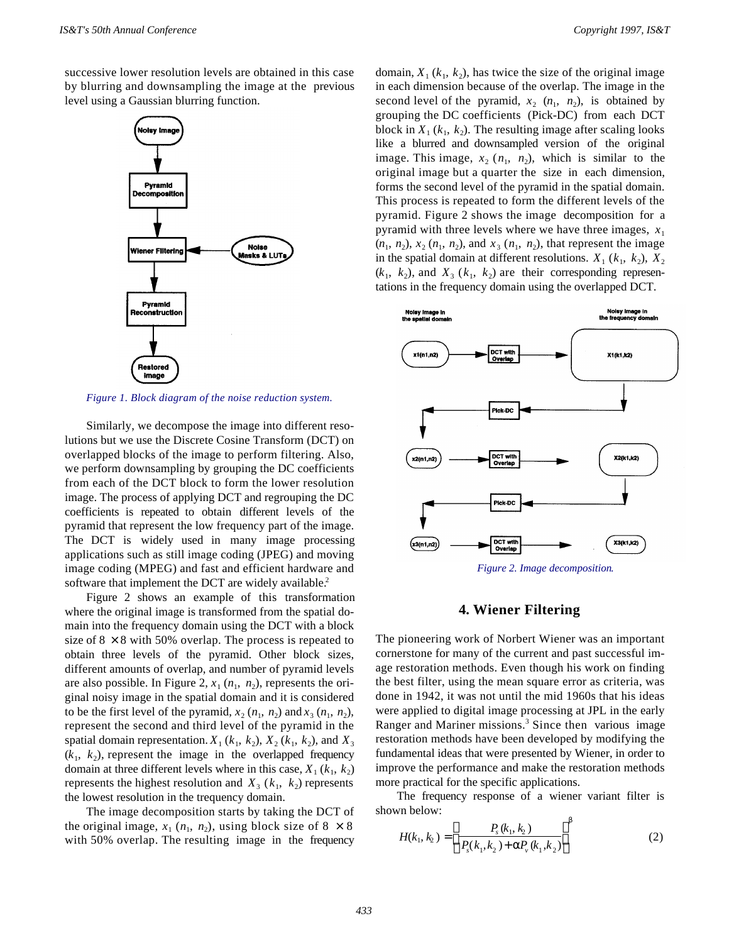successive lower resolution levels are obtained in this case by blurring and downsampling the image at the previous level using a Gaussian blurring function.



*Figure 1. Block diagram of the noise reduction system.*

Similarly, we decompose the image into different resolutions but we use the Discrete Cosine Transform (DCT) on overlapped blocks of the image to perform filtering. Also, we perform downsampling by grouping the DC coefficients from each of the DCT block to form the lower resolution image. The process of applying DCT and regrouping the DC coefficients is repeated to obtain different levels of the pyramid that represent the low frequency part of the image. The DCT is widely used in many image processing applications such as still image coding (JPEG) and moving image coding (MPEG) and fast and efficient hardware and software that implement the DCT are widely available.<sup>2</sup>

Figure 2 shows an example of this transformation where the original image is transformed from the spatial domain into the frequency domain using the DCT with a block size of  $8 \times 8$  with 50% overlap. The process is repeated to obtain three levels of the pyramid. Other block sizes, different amounts of overlap, and number of pyramid levels are also possible. In Figure 2,  $x_1$  ( $n_1$ ,  $n_2$ ), represents the original noisy image in the spatial domain and it is considered to be the first level of the pyramid,  $x_2$  ( $n_1$ ,  $n_2$ ) and  $x_3$  ( $n_1$ ,  $n_2$ ), represent the second and third level of the pyramid in the spatial domain representation.  $X_1$  ( $k_1$ ,  $k_2$ ),  $X_2$  ( $k_1$ ,  $k_2$ ), and  $X_3$  $(k_1, k_2)$ , represent the image in the overlapped frequency domain at three different levels where in this case,  $X_1$  ( $k_1$ ,  $k_2$ ) represents the highest resolution and  $X_3$  ( $k_1$ ,  $k_2$ ) represents the lowest resolution in the trequency domain.

The image decomposition starts by taking the DCT of the original image,  $x_1$  ( $n_1$ ,  $n_2$ ), using block size of  $8 \times 8$ with 50% overlap. The resulting image in the frequency

domain,  $X_1$  ( $k_1$ ,  $k_2$ ), has twice the size of the original image in each dimension because of the overlap. The image in the second level of the pyramid,  $x_2$   $(n_1, n_2)$ , is obtained by grouping the DC coefficients (Pick-DC) from each DCT block in  $X_1$  ( $k_1$ ,  $k_2$ ). The resulting image after scaling looks like a blurred and downsampled version of the original image. This image,  $x_2$  ( $n_1$ ,  $n_2$ ), which is similar to the original image but a quarter the size in each dimension, forms the second level of the pyramid in the spatial domain. This process is repeated to form the different levels of the pyramid. Figure 2 shows the image decomposition for a pyramid with three levels where we have three images,  $x_1$  $(n_1, n_2)$ ,  $x_2$   $(n_1, n_2)$ , and  $x_3$   $(n_1, n_2)$ , that represent the image in the spatial domain at different resolutions.  $X_1$  ( $k_1$ ,  $k_2$ ),  $X_2$  $(k_1, k_2)$ , and  $X_3$   $(k_1, k_2)$  are their corresponding representations in the frequency domain using the overlapped DCT.



# **4. Wiener Filtering**

The pioneering work of Norbert Wiener was an important cornerstone for many of the current and past successful image restoration methods. Even though his work on finding the best filter, using the mean square error as criteria, was done in 1942, it was not until the mid 1960s that his ideas were applied to digital image processing at JPL in the early Ranger and Mariner missions.<sup>3</sup> Since then various image restoration methods have been developed by modifying the fundamental ideas that were presented by Wiener, in order to improve the performance and make the restoration methods more practical for the specific applications.

The frequency response of a wiener variant filter is shown below:

$$
H(k_1, k_2) = \left(\frac{P_s(k_1, k_2)}{P_s(k_1, k_2) + \alpha P_v(k_1, k_2)}\right)^{\beta}
$$
 (2)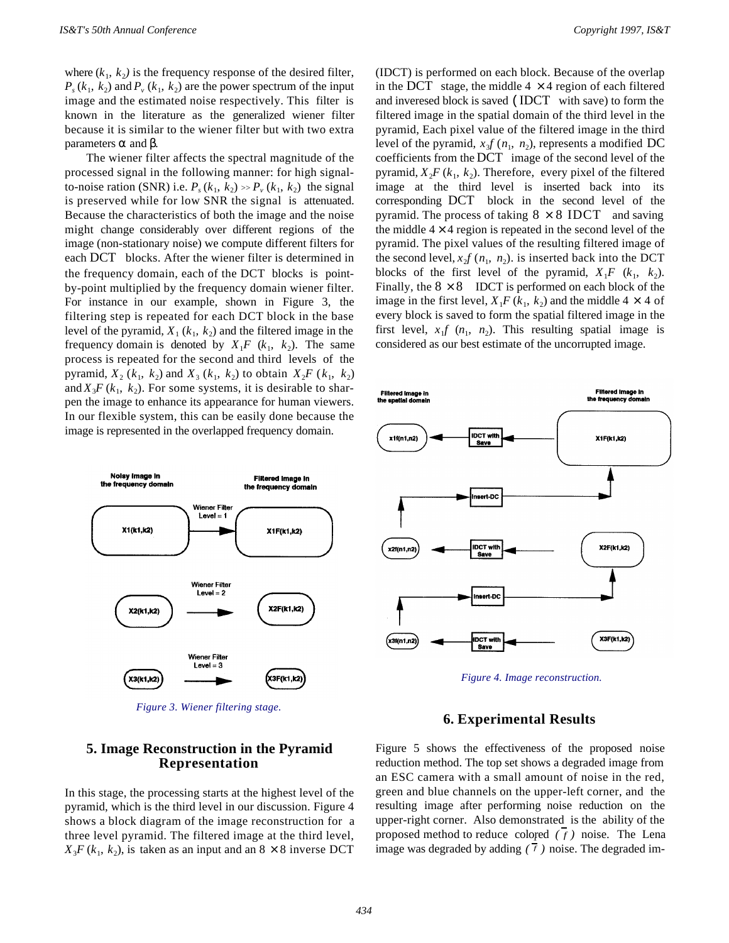where  $(k_1, k_2)$  is the frequency response of the desired filter,  $P_s$  ( $k_1$ ,  $k_2$ ) and  $P_v$  ( $k_1$ ,  $k_2$ ) are the power spectrum of the input image and the estimated noise respectively. This filter is known in the literature as the generalized wiener filter because it is similar to the wiener filter but with two extra parameters  $\alpha$  and  $\beta$ .

The wiener filter affects the spectral magnitude of the processed signal in the following manner: for high signalto-noise ration (SNR) i.e.  $P_s(k_1, k_2) \gg P_v(k_1, k_2)$  the signal is preserved while for low SNR the signal is attenuated. Because the characteristics of both the image and the noise might change considerably over different regions of the image (non-stationary noise) we compute different filters for each DCT blocks. After the wiener filter is determined in the frequency domain, each of the DCT blocks is pointby-point multiplied by the frequency domain wiener filter. For instance in our example, shown in Figure 3, the filtering step is repeated for each DCT block in the base level of the pyramid,  $X_1$  ( $k_1$ ,  $k_2$ ) and the filtered image in the frequency domain is denoted by  $X_1F(k_1, k_2)$ . The same process is repeated for the second and third levels of the pyramid,  $X_2$  ( $k_1$ ,  $k_2$ ) and  $X_3$  ( $k_1$ ,  $k_2$ ) to obtain  $X_2F$  ( $k_1$ ,  $k_2$ ) and  $X_3F(k_1, k_2)$ . For some systems, it is desirable to sharpen the image to enhance its appearance for human viewers. In our flexible system, this can be easily done because the image is represented in the overlapped frequency domain.



*Figure 3. Wiener filtering stage.*

(IDCT) is performed on each block. Because of the overlap in the DCT stage, the middle  $4 \times 4$  region of each filtered and inveresed block is saved (IDCT with save) to form the filtered image in the spatial domain of the third level in the pyramid, Each pixel value of the filtered image in the third level of the pyramid,  $x_3 f(n_1, n_2)$ , represents a modified DC coefficients from the DCT image of the second level of the pyramid,  $X_2F(k_1, k_2)$ . Therefore, every pixel of the filtered image at the third level is inserted back into its corresponding DCT block in the second level of the pyramid. The process of taking  $8 \times 8$  IDCT and saving the middle  $4 \times 4$  region is repeated in the second level of the pyramid. The pixel values of the resulting filtered image of the second level,  $x_2 f(n_1, n_2)$ . is inserted back into the DCT blocks of the first level of the pyramid,  $X_1F (k_1, k_2)$ . Finally, the  $8 \times 8$  IDCT is performed on each block of the image in the first level,  $X_1F(k_1, k_2)$  and the middle  $4 \times 4$  of every block is saved to form the spatial filtered image in the first level,  $x_1 f(n_1, n_2)$ . This resulting spatial image is considered as our best estimate of the uncorrupted image.



*Figure 4. Image reconstruction.*

# **6. Experimental Results**

# **5. Image Reconstruction in the Pyramid Representation**

In this stage, the processing starts at the highest level of the pyramid, which is the third level in our discussion. Figure 4 shows a block diagram of the image reconstruction for a three level pyramid. The filtered image at the third level,  $X_3F(k_1, k_2)$ , is taken as an input and an  $8 \times 8$  inverse DCT Figure 5 shows the effectiveness of the proposed noise reduction method. The top set shows a degraded image from an ESC camera with a small amount of noise in the red, green and blue channels on the upper-left corner, and the resulting image after performing noise reduction on the upper-right corner. Also demonstrated is the ability of the proposed method to reduce colored *( f )* noise. The Lena 1 image was degraded by adding *( f )* noise. The degraded im-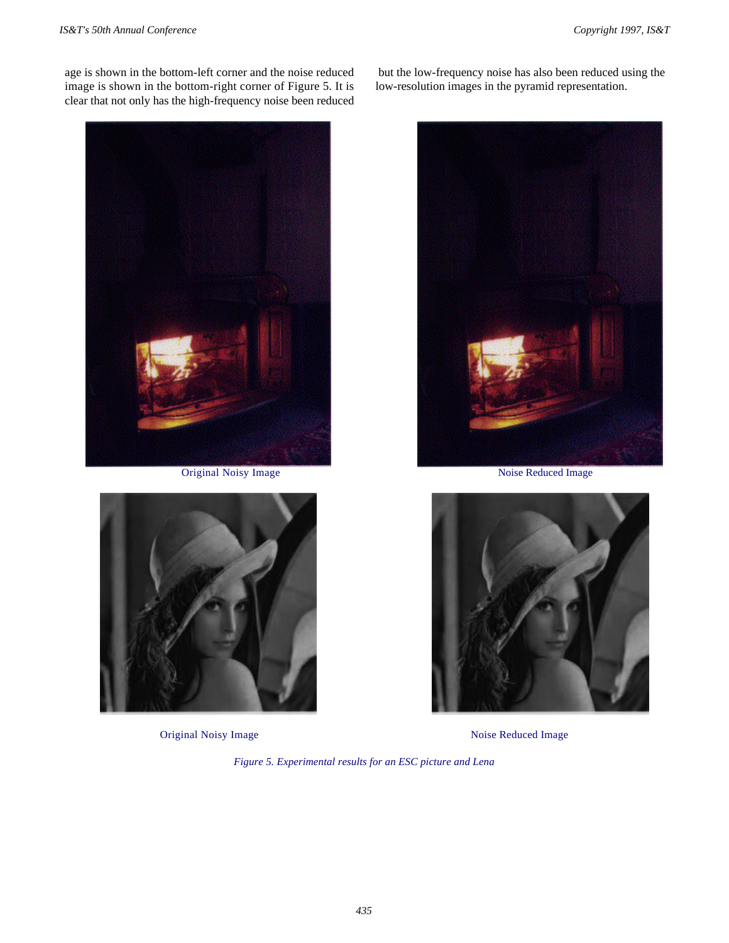age is shown in the bottom-left corner and the noise reduced image is shown in the bottom-right corner of Figure 5. It is clear that not only has the high-frequency noise been reduced



Original Noisy Image



Original Noisy Image

 but the low-frequency noise has also been reduced using the low-resolution images in the pyramid representation.



Noise Reduced Image



Noise Reduced Image

*Figure 5. Experimental results for an ESC picture and Lena*